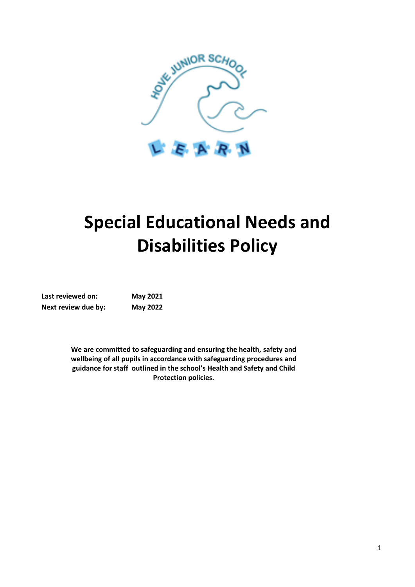

# **Special Educational Needs and Disabilities Policy**

| Last reviewed on:   | <b>May 2021</b> |
|---------------------|-----------------|
| Next review due by: | <b>May 2022</b> |

**We are committed to safeguarding and ensuring the health, safety and wellbeing of all pupils in accordance with safeguarding procedures and guidance for staff outlined in the school's Health and Safety and Child Protection policies.**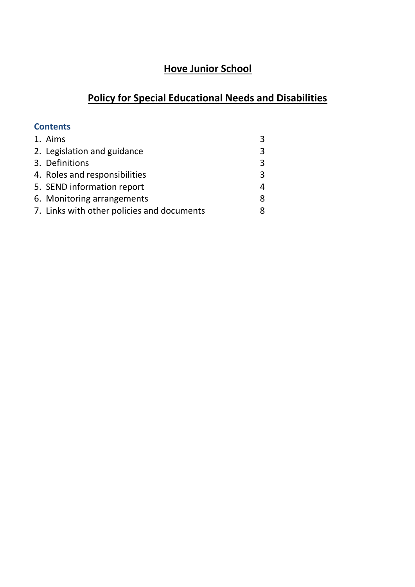# **Hove Junior School**

# **Policy for Special Educational Needs and Disabilities**

# **Contents**

| 1. Aims                                    |   |
|--------------------------------------------|---|
| 2. Legislation and guidance                | 3 |
| 3. Definitions                             | 3 |
| 4. Roles and responsibilities              | 3 |
| 5. SEND information report                 |   |
| 6. Monitoring arrangements                 | 8 |
| 7. Links with other policies and documents |   |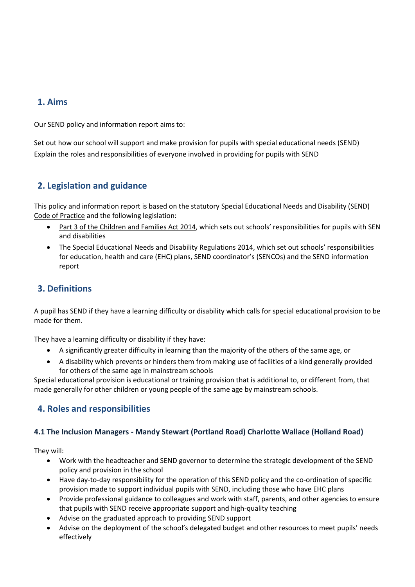# **1. Aims**

Our SEND policy and information report aims to:

Set out how our school will support and make provision for pupils with special educational needs (SEND) Explain the roles and responsibilities of everyone involved in providing for pupils with SEND

# **2. Legislation and guidance**

This policy and information report is based on the statutory [Special Educational Needs and Disability \(SEND\)](https://www.gov.uk/government/uploads/system/uploads/attachment_data/file/398815/SEND_Code_of_Practice_January_2015.pdf)  [Code of Practice](https://www.gov.uk/government/uploads/system/uploads/attachment_data/file/398815/SEND_Code_of_Practice_January_2015.pdf) and the following legislation:

- [Part 3 of the Children and Families Act 2014](http://www.legislation.gov.uk/ukpga/2014/6/part/3), which sets out schools' responsibilities for pupils with SEN and disabilities
- [The Special Educational Needs and Disability Regulations 2014](http://www.legislation.gov.uk/uksi/2014/1530/contents/made), which set out schools' responsibilities for education, health and care (EHC) plans, SEND coordinator's (SENCOs) and the SEND information report

# **3. Definitions**

A pupil has SEND if they have a learning difficulty or disability which calls for special educational provision to be made for them.

They have a learning difficulty or disability if they have:

- A significantly greater difficulty in learning than the majority of the others of the same age, or
- A disability which prevents or hinders them from making use of facilities of a kind generally provided for others of the same age in mainstream schools

Special educational provision is educational or training provision that is additional to, or different from, that made generally for other children or young people of the same age by mainstream schools.

# **4. Roles and responsibilities**

#### **4.1 The Inclusion Managers - Mandy Stewart (Portland Road) Charlotte Wallace (Holland Road)**

They will:

- Work with the headteacher and SEND governor to determine the strategic development of the SEND policy and provision in the school
- Have day-to-day responsibility for the operation of this SEND policy and the co-ordination of specific provision made to support individual pupils with SEND, including those who have EHC plans
- Provide professional guidance to colleagues and work with staff, parents, and other agencies to ensure that pupils with SEND receive appropriate support and high-quality teaching
- Advise on the graduated approach to providing SEND support
- Advise on the deployment of the school's delegated budget and other resources to meet pupils' needs effectively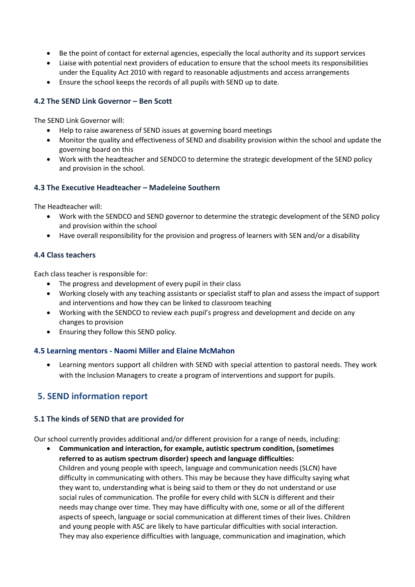- Be the point of contact for external agencies, especially the local authority and its support services
- Liaise with potential next providers of education to ensure that the school meets its responsibilities under the Equality Act 2010 with regard to reasonable adjustments and access arrangements
- Ensure the school keeps the records of all pupils with SEND up to date.

#### **4.2 The SEND Link Governor – Ben Scott**

The SEND Link Governor will:

- Help to raise awareness of SEND issues at governing board meetings
- Monitor the quality and effectiveness of SEND and disability provision within the school and update the governing board on this
- Work with the headteacher and SENDCO to determine the strategic development of the SEND policy and provision in the school.

#### **4.3 The Executive Headteacher – Madeleine Southern**

The Headteacher will:

- Work with the SENDCO and SEND governor to determine the strategic development of the SEND policy and provision within the school
- Have overall responsibility for the provision and progress of learners with SEN and/or a disability

#### **4.4 Class teachers**

Each class teacher is responsible for:

- The progress and development of every pupil in their class
- Working closely with any teaching assistants or specialist staff to plan and assess the impact of support and interventions and how they can be linked to classroom teaching
- Working with the SENDCO to review each pupil's progress and development and decide on any changes to provision
- Ensuring they follow this SEND policy.

#### **4.5 Learning mentors - Naomi Miller and Elaine McMahon**

 Learning mentors support all children with SEND with special attention to pastoral needs. They work with the Inclusion Managers to create a program of interventions and support for pupils.

## **5. SEND information report**

#### **5.1 The kinds of SEND that are provided for**

Our school currently provides additional and/or different provision for a range of needs, including:

 **Communication and interaction, for example, autistic spectrum condition, (sometimes referred to as autism spectrum disorder) speech and language difficulties:**  Children and young people with speech, language and communication needs (SLCN) have difficulty in communicating with others. This may be because they have difficulty saying what they want to, understanding what is being said to them or they do not understand or use social rules of communication. The profile for every child with SLCN is different and their needs may change over time. They may have difficulty with one, some or all of the different aspects of speech, language or social communication at different times of their lives. Children and young people with ASC are likely to have particular difficulties with social interaction. They may also experience difficulties with language, communication and imagination, which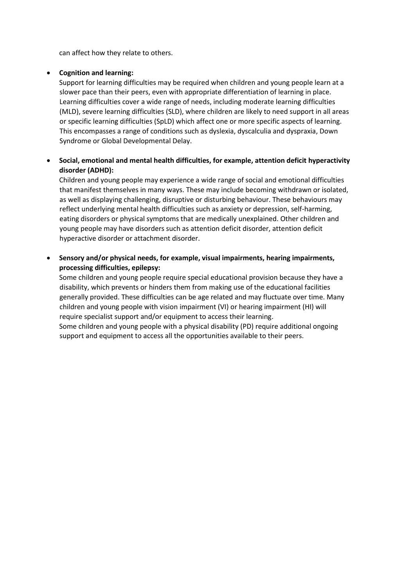can affect how they relate to others.

#### **Cognition and learning:**

Support for learning difficulties may be required when children and young people learn at a slower pace than their peers, even with appropriate differentiation of learning in place. Learning difficulties cover a wide range of needs, including moderate learning difficulties (MLD), severe learning difficulties (SLD), where children are likely to need support in all areas or specific learning difficulties (SpLD) which affect one or more specific aspects of learning. This encompasses a range of conditions such as dyslexia, dyscalculia and dyspraxia, Down Syndrome or Global Developmental Delay.

#### **Social, emotional and mental health difficulties, for example, attention deficit hyperactivity disorder (ADHD):**

Children and young people may experience a wide range of social and emotional difficulties that manifest themselves in many ways. These may include becoming withdrawn or isolated, as well as displaying challenging, disruptive or disturbing behaviour. These behaviours may reflect underlying mental health difficulties such as anxiety or depression, self-harming, eating disorders or physical symptoms that are medically unexplained. Other children and young people may have disorders such as attention deficit disorder, attention deficit hyperactive disorder or attachment disorder.

 **Sensory and/or physical needs, for example, visual impairments, hearing impairments, processing difficulties, epilepsy:** 

Some children and young people require special educational provision because they have a disability, which prevents or hinders them from making use of the educational facilities generally provided. These difficulties can be age related and may fluctuate over time. Many children and young people with vision impairment (VI) or hearing impairment (HI) will require specialist support and/or equipment to access their learning. Some children and young people with a physical disability (PD) require additional ongoing support and equipment to access all the opportunities available to their peers.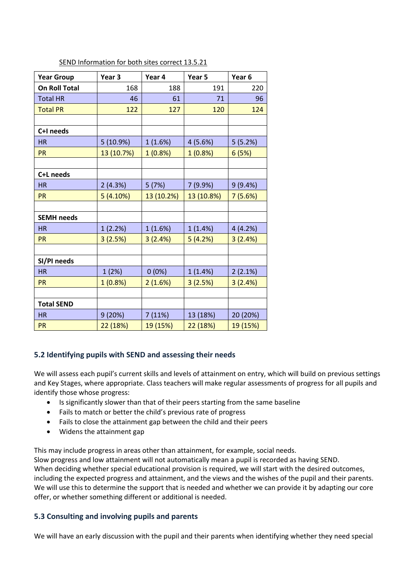| <b>Year Group</b>    | Year <sub>3</sub> | Year 4     | Year 5     | Year <sub>6</sub> |
|----------------------|-------------------|------------|------------|-------------------|
| <b>On Roll Total</b> | 168               | 188        | 191        | 220               |
| <b>Total HR</b>      | 46                | 61         | 71         | 96                |
| <b>Total PR</b>      | 122               | 127        | 120        | 124               |
|                      |                   |            |            |                   |
| C+I needs            |                   |            |            |                   |
| <b>HR</b>            | 5(10.9%)          | 1(1.6%)    | 4(5.6%)    | 5(5.2%)           |
| <b>PR</b>            | 13 (10.7%)        | 1(0.8%)    | 1(0.8%)    | 6(5%)             |
|                      |                   |            |            |                   |
| C+L needs            |                   |            |            |                   |
| <b>HR</b>            | 2(4.3%)           | 5(7%)      | 7(9.9%)    | 9(9.4%)           |
| <b>PR</b>            | 5(4.10%)          | 13 (10.2%) | 13 (10.8%) | 7(5.6%)           |
|                      |                   |            |            |                   |
| <b>SEMH needs</b>    |                   |            |            |                   |
| <b>HR</b>            | 1(2.2%)           | 1(1.6%)    | 1(1.4%)    | 4(4.2%)           |
| <b>PR</b>            | 3(2.5%)           | 3(2.4%)    | 5(4.2%)    | 3(2.4%)           |
|                      |                   |            |            |                   |
| SI/PI needs          |                   |            |            |                   |
| <b>HR</b>            | 1(2%)             | $0(0\%)$   | 1(1.4%)    | 2(2.1%)           |
| <b>PR</b>            | 1(0.8%)           | 2(1.6%)    | 3(2.5%)    | 3(2.4%)           |
|                      |                   |            |            |                   |
| <b>Total SEND</b>    |                   |            |            |                   |
| <b>HR</b>            | 9(20%)            | 7(11%)     | 13 (18%)   | 20 (20%)          |
| <b>PR</b>            | 22 (18%)          | 19 (15%)   | 22 (18%)   | 19 (15%)          |

#### SEND Information for both sites correct 13.5.21

#### **5.2 Identifying pupils with SEND and assessing their needs**

We will assess each pupil's current skills and levels of attainment on entry, which will build on previous settings and Key Stages, where appropriate. Class teachers will make regular assessments of progress for all pupils and identify those whose progress:

- Is significantly slower than that of their peers starting from the same baseline
- Fails to match or better the child's previous rate of progress
- Fails to close the attainment gap between the child and their peers
- Widens the attainment gap

This may include progress in areas other than attainment, for example, social needs.

Slow progress and low attainment will not automatically mean a pupil is recorded as having SEND.

When deciding whether special educational provision is required, we will start with the desired outcomes, including the expected progress and attainment, and the views and the wishes of the pupil and their parents. We will use this to determine the support that is needed and whether we can provide it by adapting our core offer, or whether something different or additional is needed.

#### **5.3 Consulting and involving pupils and parents**

We will have an early discussion with the pupil and their parents when identifying whether they need special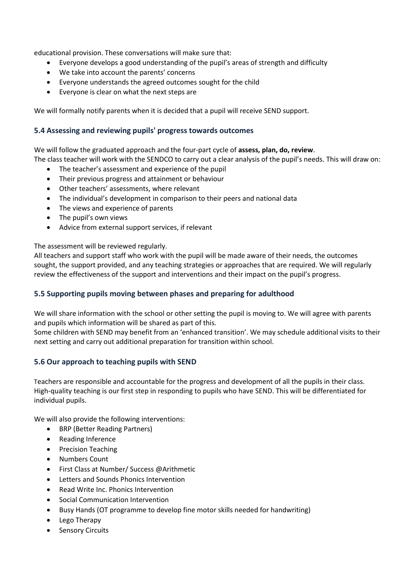educational provision. These conversations will make sure that:

- Everyone develops a good understanding of the pupil's areas of strength and difficulty
- We take into account the parents' concerns
- Everyone understands the agreed outcomes sought for the child
- Everyone is clear on what the next steps are

We will formally notify parents when it is decided that a pupil will receive SEND support.

#### **5.4 Assessing and reviewing pupils' progress towards outcomes**

We will follow the graduated approach and the four-part cycle of **assess, plan, do, review**. The class teacher will work with the SENDCO to carry out a clear analysis of the pupil's needs. This will draw on:

- The teacher's assessment and experience of the pupil
- Their previous progress and attainment or behaviour
- Other teachers' assessments, where relevant
- The individual's development in comparison to their peers and national data
- The views and experience of parents
- The pupil's own views
- Advice from external support services, if relevant

The assessment will be reviewed regularly.

All teachers and support staff who work with the pupil will be made aware of their needs, the outcomes sought, the support provided, and any teaching strategies or approaches that are required. We will regularly review the effectiveness of the support and interventions and their impact on the pupil's progress.

#### **5.5 Supporting pupils moving between phases and preparing for adulthood**

We will share information with the school or other setting the pupil is moving to. We will agree with parents and pupils which information will be shared as part of this.

Some children with SEND may benefit from an 'enhanced transition'. We may schedule additional visits to their next setting and carry out additional preparation for transition within school.

#### **5.6 Our approach to teaching pupils with SEND**

Teachers are responsible and accountable for the progress and development of all the pupils in their class. High-quality teaching is our first step in responding to pupils who have SEND. This will be differentiated for individual pupils.

We will also provide the following interventions:

- BRP (Better Reading Partners)
- Reading Inference
- Precision Teaching
- Numbers Count
- First Class at Number/ Success @Arithmetic
- Letters and Sounds Phonics Intervention
- Read Write Inc. Phonics Intervention
- Social Communication Intervention
- Busy Hands (OT programme to develop fine motor skills needed for handwriting)
- Lego Therapy
- Sensory Circuits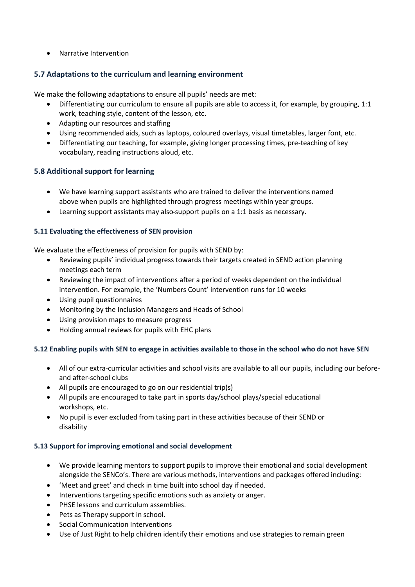Narrative Intervention

#### **5.7 Adaptations to the curriculum and learning environment**

We make the following adaptations to ensure all pupils' needs are met:

- Differentiating our curriculum to ensure all pupils are able to access it, for example, by grouping, 1:1 work, teaching style, content of the lesson, etc.
- Adapting our resources and staffing
- Using recommended aids, such as laptops, coloured overlays, visual timetables, larger font, etc.
- Differentiating our teaching, for example, giving longer processing times, pre-teaching of key vocabulary, reading instructions aloud, etc.

#### **5.8 Additional support for learning**

- We have learning support assistants who are trained to deliver the interventions named above when pupils are highlighted through progress meetings within year groups.
- Learning support assistants may also support pupils on a 1:1 basis as necessary.

#### **5.11 Evaluating the effectiveness of SEN provision**

We evaluate the effectiveness of provision for pupils with SEND by:

- Reviewing pupils' individual progress towards their targets created in SEND action planning meetings each term
- Reviewing the impact of interventions after a period of weeks dependent on the individual intervention. For example, the 'Numbers Count' intervention runs for 10 weeks
- Using pupil questionnaires
- Monitoring by the Inclusion Managers and Heads of School
- Using provision maps to measure progress
- Holding annual reviews for pupils with EHC plans

#### **5.12 Enabling pupils with SEN to engage in activities available to those in the school who do not have SEN**

- All of our extra-curricular activities and school visits are available to all our pupils, including our beforeand after-school clubs
- All pupils are encouraged to go on our residential trip(s)
- All pupils are encouraged to take part in sports day/school plays/special educational workshops, etc.
- No pupil is ever excluded from taking part in these activities because of their SEND or disability

#### **5.13 Support for improving emotional and social development**

- We provide learning mentors to support pupils to improve their emotional and social development alongside the SENCo's. There are various methods, interventions and packages offered including:
- 'Meet and greet' and check in time built into school day if needed.
- Interventions targeting specific emotions such as anxiety or anger.
- PHSE lessons and curriculum assemblies.
- Pets as Therapy support in school.
- Social Communication Interventions
- Use of Just Right to help children identify their emotions and use strategies to remain green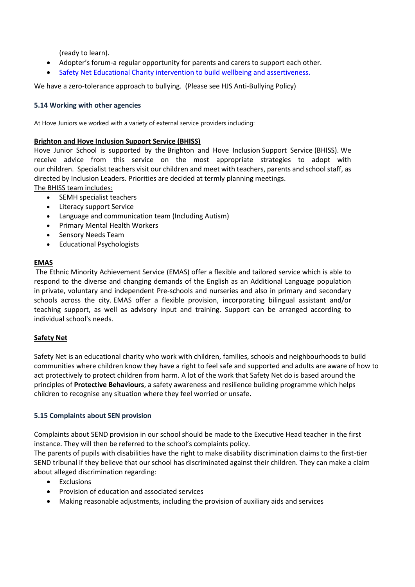(ready to learn).

- Adopter's forum-a regular opportunity for parents and carers to support each other.
- [Safety Net Educational Charity intervention](https://www.safety-net.org.uk/) to build wellbeing and assertiveness.

We have a zero-tolerance approach to bullying. (Please see HJS Anti-Bullying Policy)

#### **5.14 Working with other agencies**

At Hove Juniors we worked with a variety of external service providers including:

#### **Brighton and Hove Inclusion Support Service (BHISS)**

Hove Junior School is supported by the Brighton and Hove Inclusion Support Service (BHISS). We receive advice from this service on the most appropriate strategies to adopt with our children. Specialist teachers visit our children and meet with teachers, parents and school staff, as directed by Inclusion Leaders. Priorities are decided at termly planning meetings.

The BHISS team includes:

- SEMH specialist teachers
- Literacy support Service
- Language and communication team (Including Autism)
- Primary Mental Health Workers
- Sensory Needs Team
- Educational Psychologists

#### **EMAS**

The Ethnic Minority Achievement Service (EMAS) offer a flexible and tailored service which is able to respond to the diverse and changing demands of the English as an Additional Language population in private, voluntary and independent Pre-schools and nurseries and also in primary and secondary schools across the city. EMAS offer a flexible provision, incorporating bilingual assistant and/or teaching support, as well as advisory input and training. Support can be arranged according to individual school's needs.

#### **Safety Net**

Safety Net is an educational charity who work with children, families, schools and neighbourhoods to build communities where children know they have a right to feel safe and supported and adults are aware of how to act protectively to protect children from harm. A lot of the work that Safety Net do is based around the principles of **Protective [Behaviours](https://www.safety-net.org.uk/protective-behaviours/)**, a safety awareness and resilience building programme which helps children to recognise any situation where they feel worried or unsafe.

#### **5.15 Complaints about SEN provision**

Complaints about SEND provision in our school should be made to the Executive Head teacher in the first instance. They will then be referred to the school's complaints policy.

The parents of pupils with disabilities have the right to make disability discrimination claims to the first-tier SEND tribunal if they believe that our school has discriminated against their children. They can make a claim about alleged discrimination regarding:

- Exclusions
- Provision of education and associated services
- Making reasonable adjustments, including the provision of auxiliary aids and services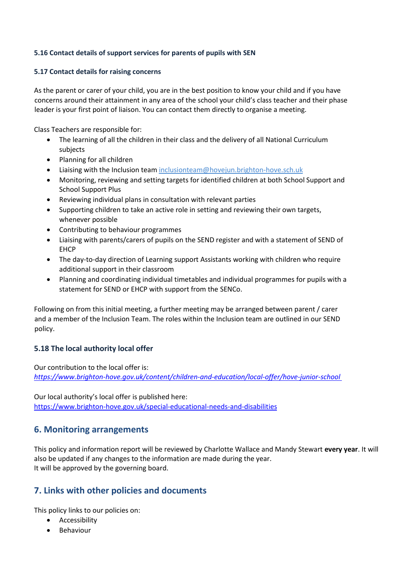#### **5.16 Contact details of support services for parents of pupils with SEN**

#### **5.17 Contact details for raising concerns**

As the parent or carer of your child, you are in the best position to know your child and if you have concerns around their attainment in any area of the school your child's class teacher and their phase leader is your first point of liaison. You can contact them directly to organise a meeting.

Class Teachers are responsible for:

- The learning of all the children in their class and the delivery of all National Curriculum subjects
- Planning for all children
- Liaising with the Inclusion team [inclusionteam@hovejun.brighton-hove.sch.uk](http://inclusionteam@hovejun.brighton-hove.sch.uk/)
- Monitoring, reviewing and setting targets for identified children at both School Support and School Support Plus
- Reviewing individual plans in consultation with relevant parties
- Supporting children to take an active role in setting and reviewing their own targets, whenever possible
- Contributing to behaviour programmes
- Liaising with parents/carers of pupils on the SEND register and with a statement of SEND of EHCP
- The day-to-day direction of Learning support Assistants working with children who require additional support in their classroom
- Planning and coordinating individual timetables and individual programmes for pupils with a statement for SEND or EHCP with support from the SENCo.

Following on from this initial meeting, a further meeting may be arranged between parent / carer and a member of the Inclusion Team. The roles within the Inclusion team are outlined in our SEND policy.

## **5.18 The local authority local offer**

Our contribution to the local offer is: *<https://www.brighton-hove.gov.uk/content/children-and-education/local-offer/hove-junior-school>*

Our local authority's local offer is published here: <https://www.brighton-hove.gov.uk/special-educational-needs-and-disabilities>

# **6. Monitoring arrangements**

This policy and information report will be reviewed by Charlotte Wallace and Mandy Stewart **every year**. It will also be updated if any changes to the information are made during the year. It will be approved by the governing board.

# **7. Links with other policies and documents**

This policy links to our policies on:

- **•** Accessibility
- **•** Behaviour